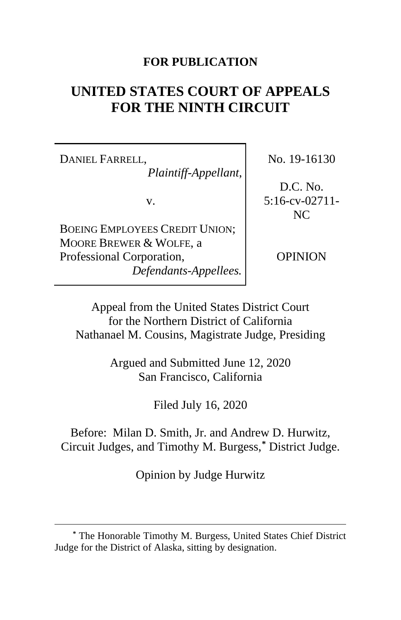# **FOR PUBLICATION**

# **UNITED STATES COURT OF APPEALS FOR THE NINTH CIRCUIT**

DANIEL FARRELL, *Plaintiff-Appellant*,

v.

BOEING EMPLOYEES CREDIT UNION; MOORE BREWER & WOLFE, a Professional Corporation, *Defendants-Appellees.* No. 19-16130

D.C. No. 5:16-cv-02711- NC

OPINION

Appeal from the United States District Court for the Northern District of California Nathanael M. Cousins, Magistrate Judge, Presiding

> Argued and Submitted June 12, 2020 San Francisco, California

> > Filed July 16, 2020

Before: Milan D. Smith, Jr. and Andrew D. Hurwitz, Circuit Judges, and Timothy M. Burgess,**[\\*](#page-0-0)** District Judge.

Opinion by Judge Hurwitz

<span id="page-0-0"></span>**<sup>\*</sup>** The Honorable Timothy M. Burgess, United States Chief District Judge for the District of Alaska, sitting by designation.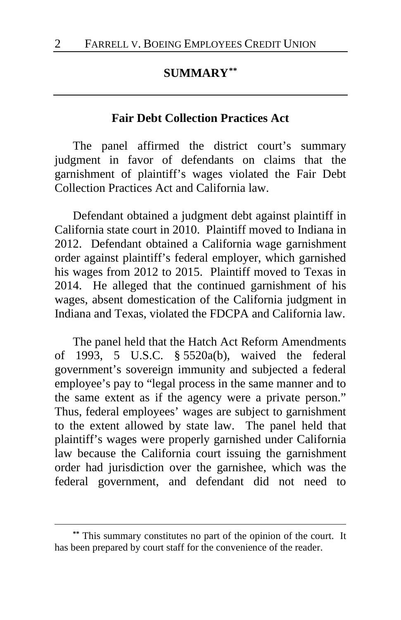# **SUMMARY[\\*\\*](#page-1-0)**

## **Fair Debt Collection Practices Act**

The panel affirmed the district court's summary judgment in favor of defendants on claims that the garnishment of plaintiff's wages violated the Fair Debt Collection Practices Act and California law.

Defendant obtained a judgment debt against plaintiff in California state court in 2010. Plaintiff moved to Indiana in 2012. Defendant obtained a California wage garnishment order against plaintiff's federal employer, which garnished his wages from 2012 to 2015. Plaintiff moved to Texas in 2014. He alleged that the continued garnishment of his wages, absent domestication of the California judgment in Indiana and Texas, violated the FDCPA and California law.

The panel held that the Hatch Act Reform Amendments of 1993, 5 U.S.C. § 5520a(b), waived the federal government's sovereign immunity and subjected a federal employee's pay to "legal process in the same manner and to the same extent as if the agency were a private person." Thus, federal employees' wages are subject to garnishment to the extent allowed by state law. The panel held that plaintiff's wages were properly garnished under California law because the California court issuing the garnishment order had jurisdiction over the garnishee, which was the federal government, and defendant did not need to

<span id="page-1-0"></span>**<sup>\*\*</sup>** This summary constitutes no part of the opinion of the court. It has been prepared by court staff for the convenience of the reader.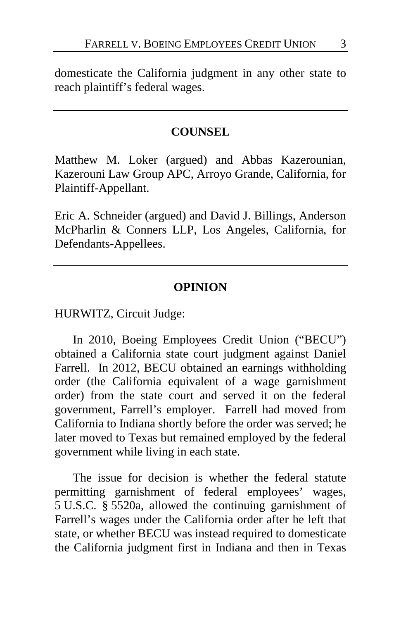domesticate the California judgment in any other state to reach plaintiff's federal wages.

## **COUNSEL**

Matthew M. Loker (argued) and Abbas Kazerounian, Kazerouni Law Group APC, Arroyo Grande, California, for Plaintiff-Appellant.

Eric A. Schneider (argued) and David J. Billings, Anderson McPharlin & Conners LLP, Los Angeles, California, for Defendants-Appellees.

## **OPINION**

HURWITZ, Circuit Judge:

In 2010, Boeing Employees Credit Union ("BECU") obtained a California state court judgment against Daniel Farrell. In 2012, BECU obtained an earnings withholding order (the California equivalent of a wage garnishment order) from the state court and served it on the federal government, Farrell's employer. Farrell had moved from California to Indiana shortly before the order was served; he later moved to Texas but remained employed by the federal government while living in each state.

The issue for decision is whether the federal statute permitting garnishment of federal employees' wages, 5 U.S.C. § 5520a, allowed the continuing garnishment of Farrell's wages under the California order after he left that state, or whether BECU was instead required to domesticate the California judgment first in Indiana and then in Texas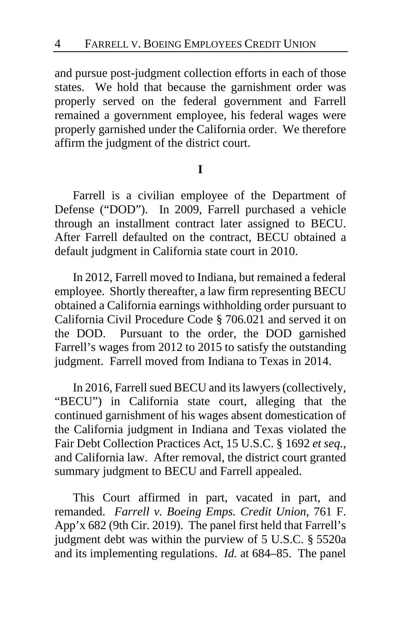and pursue post-judgment collection efforts in each of those states. We hold that because the garnishment order was properly served on the federal government and Farrell remained a government employee, his federal wages were properly garnished under the California order. We therefore affirm the judgment of the district court.

#### **I**

Farrell is a civilian employee of the Department of Defense ("DOD"). In 2009, Farrell purchased a vehicle through an installment contract later assigned to BECU. After Farrell defaulted on the contract, BECU obtained a default judgment in California state court in 2010.

In 2012, Farrell moved to Indiana, but remained a federal employee. Shortly thereafter, a law firm representing BECU obtained a California earnings withholding order pursuant to California Civil Procedure Code § 706.021 and served it on the DOD. Pursuant to the order, the DOD garnished Farrell's wages from 2012 to 2015 to satisfy the outstanding judgment. Farrell moved from Indiana to Texas in 2014.

In 2016, Farrell sued BECU and its lawyers (collectively, "BECU") in California state court, alleging that the continued garnishment of his wages absent domestication of the California judgment in Indiana and Texas violated the Fair Debt Collection Practices Act, 15 U.S.C. § 1692 *et seq.*, and California law. After removal, the district court granted summary judgment to BECU and Farrell appealed.

This Court affirmed in part, vacated in part, and remanded. *Farrell v. Boeing Emps. Credit Union*, 761 F. App'x 682 (9th Cir. 2019). The panel first held that Farrell's judgment debt was within the purview of 5 U.S.C. § 5520a and its implementing regulations. *Id.* at 684–85. The panel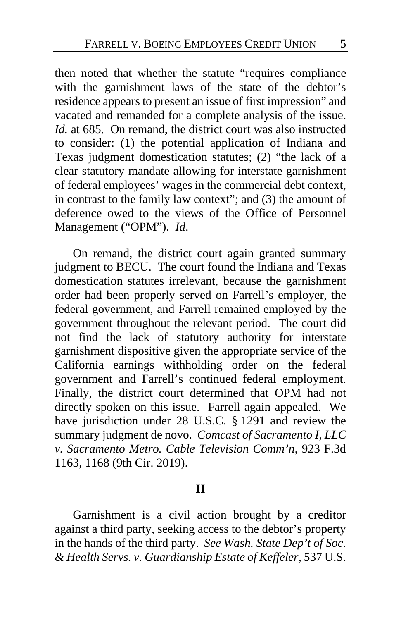then noted that whether the statute "requires compliance with the garnishment laws of the state of the debtor's residence appears to present an issue of first impression" and vacated and remanded for a complete analysis of the issue. *Id.* at 685. On remand, the district court was also instructed to consider: (1) the potential application of Indiana and Texas judgment domestication statutes; (2) "the lack of a clear statutory mandate allowing for interstate garnishment of federal employees' wages in the commercial debt context, in contrast to the family law context"; and (3) the amount of deference owed to the views of the Office of Personnel Management ("OPM"). *Id*.

On remand, the district court again granted summary judgment to BECU. The court found the Indiana and Texas domestication statutes irrelevant, because the garnishment order had been properly served on Farrell's employer, the federal government, and Farrell remained employed by the government throughout the relevant period. The court did not find the lack of statutory authority for interstate garnishment dispositive given the appropriate service of the California earnings withholding order on the federal government and Farrell's continued federal employment. Finally, the district court determined that OPM had not directly spoken on this issue. Farrell again appealed. We have jurisdiction under 28 U.S.C. § 1291 and review the summary judgment de novo. *Comcast of Sacramento I, LLC v. Sacramento Metro. Cable Television Comm'n*, 923 F.3d 1163, 1168 (9th Cir. 2019).

#### **II**

Garnishment is a civil action brought by a creditor against a third party, seeking access to the debtor's property in the hands of the third party. *See Wash. State Dep't of Soc. & Health Servs. v. Guardianship Estate of Keffeler*, 537 U.S.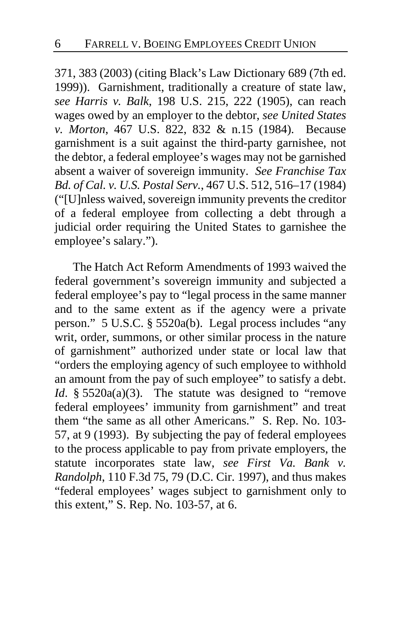371, 383 (2003) (citing Black's Law Dictionary 689 (7th ed. 1999)). Garnishment, traditionally a creature of state law, *see Harris v. Balk*, 198 U.S. 215, 222 (1905), can reach wages owed by an employer to the debtor, *see United States v. Morton*, 467 U.S. 822, 832 & n.15 (1984). Because garnishment is a suit against the third-party garnishee, not the debtor, a federal employee's wages may not be garnished absent a waiver of sovereign immunity. *See Franchise Tax Bd. of Cal. v. U.S. Postal Serv.*, 467 U.S. 512, 516–17 (1984) ("[U]nless waived, sovereign immunity prevents the creditor of a federal employee from collecting a debt through a judicial order requiring the United States to garnishee the employee's salary.").

The Hatch Act Reform Amendments of 1993 waived the federal government's sovereign immunity and subjected a federal employee's pay to "legal process in the same manner and to the same extent as if the agency were a private person." 5 U.S.C. § 5520a(b). Legal process includes "any writ, order, summons, or other similar process in the nature of garnishment" authorized under state or local law that "orders the employing agency of such employee to withhold an amount from the pay of such employee" to satisfy a debt. *Id.* § 5520a(a)(3). The statute was designed to "remove federal employees' immunity from garnishment" and treat them "the same as all other Americans." S. Rep. No. 103- 57, at 9 (1993). By subjecting the pay of federal employees to the process applicable to pay from private employers, the statute incorporates state law, *see First Va. Bank v. Randolph*, 110 F.3d 75, 79 (D.C. Cir. 1997), and thus makes "federal employees' wages subject to garnishment only to this extent," S. Rep. No. 103-57, at 6.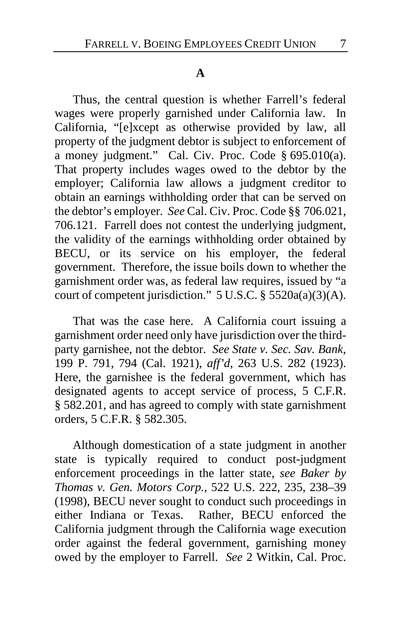### **A**

Thus, the central question is whether Farrell's federal wages were properly garnished under California law. In California, "[e]xcept as otherwise provided by law, all property of the judgment debtor is subject to enforcement of a money judgment." Cal. Civ. Proc. Code § 695.010(a). That property includes wages owed to the debtor by the employer; California law allows a judgment creditor to obtain an earnings withholding order that can be served on the debtor's employer. *See* Cal. Civ. Proc. Code §§ 706.021, 706.121. Farrell does not contest the underlying judgment, the validity of the earnings withholding order obtained by BECU, or its service on his employer, the federal government. Therefore, the issue boils down to whether the garnishment order was, as federal law requires, issued by "a court of competent jurisdiction."  $5 \text{ U.S.C.}$  §  $5520a(a)(3)(A)$ .

That was the case here. A California court issuing a garnishment order need only have jurisdiction over the thirdparty garnishee, not the debtor. *See State v. Sec. Sav. Bank*, 199 P. 791, 794 (Cal. 1921), *aff'd*, 263 U.S. 282 (1923). Here, the garnishee is the federal government, which has designated agents to accept service of process, 5 C.F.R. § 582.201, and has agreed to comply with state garnishment orders, 5 C.F.R. § 582.305.

Although domestication of a state judgment in another state is typically required to conduct post-judgment enforcement proceedings in the latter state, *see Baker by Thomas v. Gen. Motors Corp.*, 522 U.S. 222, 235, 238–39 (1998), BECU never sought to conduct such proceedings in either Indiana or Texas. Rather, BECU enforced the California judgment through the California wage execution order against the federal government, garnishing money owed by the employer to Farrell. *See* 2 Witkin, Cal. Proc.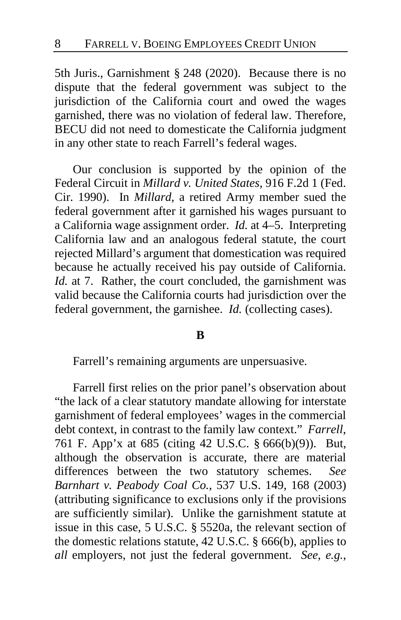5th Juris., Garnishment § 248 (2020). Because there is no dispute that the federal government was subject to the jurisdiction of the California court and owed the wages garnished, there was no violation of federal law. Therefore, BECU did not need to domesticate the California judgment in any other state to reach Farrell's federal wages.

Our conclusion is supported by the opinion of the Federal Circuit in *Millard v. United States*, 916 F.2d 1 (Fed. Cir. 1990). In *Millard*, a retired Army member sued the federal government after it garnished his wages pursuant to a California wage assignment order. *Id.* at 4–5. Interpreting California law and an analogous federal statute, the court rejected Millard's argument that domestication was required because he actually received his pay outside of California. *Id.* at 7. Rather, the court concluded, the garnishment was valid because the California courts had jurisdiction over the federal government, the garnishee. *Id.* (collecting cases).

### **B**

Farrell's remaining arguments are unpersuasive.

Farrell first relies on the prior panel's observation about "the lack of a clear statutory mandate allowing for interstate garnishment of federal employees' wages in the commercial debt context, in contrast to the family law context." *Farrell*, 761 F. App'x at 685 (citing 42 U.S.C. § 666(b)(9)). But, although the observation is accurate, there are material differences between the two statutory schemes. *See Barnhart v. Peabody Coal Co.*, 537 U.S. 149, 168 (2003) (attributing significance to exclusions only if the provisions are sufficiently similar). Unlike the garnishment statute at issue in this case, 5 U.S.C. § 5520a, the relevant section of the domestic relations statute, 42 U.S.C. § 666(b), applies to *all* employers, not just the federal government. *See, e.g.*,